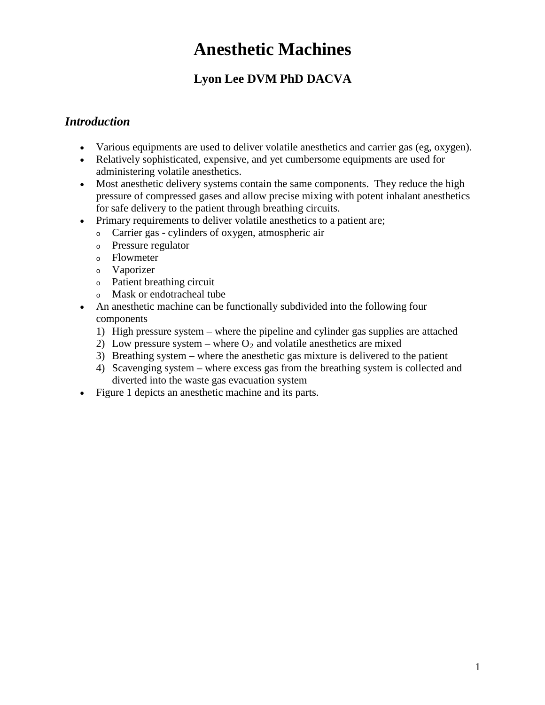# **Anesthetic Machines**

# **Lyon Lee DVM PhD DACVA**

#### *Introduction*

- Various equipments are used to deliver volatile anesthetics and carrier gas (eg, oxygen).
- Relatively sophisticated, expensive, and yet cumbersome equipments are used for administering volatile anesthetics.
- Most anesthetic delivery systems contain the same components. They reduce the high pressure of compressed gases and allow precise mixing with potent inhalant anesthetics for safe delivery to the patient through breathing circuits.
- Primary requirements to deliver volatile anesthetics to a patient are;
	- <sup>o</sup> Carrier gas cylinders of oxygen, atmospheric air
	- <sup>o</sup> Pressure regulator
	- <sup>o</sup> Flowmeter
	- <sup>o</sup> Vaporizer
	- <sup>o</sup> Patient breathing circuit
	- <sup>o</sup> Mask or endotracheal tube
- An anesthetic machine can be functionally subdivided into the following four components
	- 1) High pressure system where the pipeline and cylinder gas supplies are attached
	- 2) Low pressure system where  $O_2$  and volatile anesthetics are mixed
	- 3) Breathing system where the anesthetic gas mixture is delivered to the patient
	- 4) Scavenging system where excess gas from the breathing system is collected and diverted into the waste gas evacuation system
- Figure 1 depicts an anesthetic machine and its parts.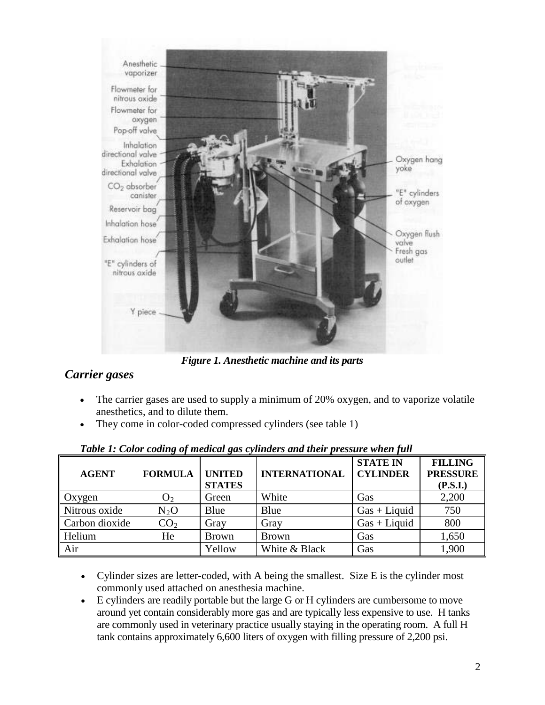

*Figure 1. Anesthetic machine and its parts*

## *Carrier gases*

- The carrier gases are used to supply a minimum of 20% oxygen, and to vaporize volatile anesthetics, and to dilute them.
- They come in color-coded compressed cylinders (see table 1)

| <b>AGENT</b>   | <b>FORMULA</b>  | <b>UNITED</b><br><b>STATES</b> | <b>INTERNATIONAL</b> | <b>STATE IN</b><br><b>CYLINDER</b> | <b>FILLING</b><br><b>PRESSURE</b><br>(P.S.I.) |
|----------------|-----------------|--------------------------------|----------------------|------------------------------------|-----------------------------------------------|
| Oxygen         | O <sub>2</sub>  | Green                          | White                | Gas                                | 2,200                                         |
| Nitrous oxide  | $N_2O$          | Blue                           | Blue                 | $Gas + Liquid$                     | 750                                           |
| Carbon dioxide | CO <sub>2</sub> | Gray                           | Gray                 | $Gas + Liquid$                     | 800                                           |
| Helium         | He              | <b>Brown</b>                   | <b>Brown</b>         | Gas                                | 1,650                                         |
| Air            |                 | Yellow                         | White & Black        | Gas                                | 1,900                                         |

|  |  | Table 1: Color coding of medical gas cylinders and their pressure when full |  |  |  |
|--|--|-----------------------------------------------------------------------------|--|--|--|
|  |  |                                                                             |  |  |  |

- Cylinder sizes are letter-coded, with A being the smallest. Size E is the cylinder most commonly used attached on anesthesia machine.
- E cylinders are readily portable but the large G or H cylinders are cumbersome to move around yet contain considerably more gas and are typically less expensive to use. H tanks are commonly used in veterinary practice usually staying in the operating room. A full H tank contains approximately 6,600 liters of oxygen with filling pressure of 2,200 psi.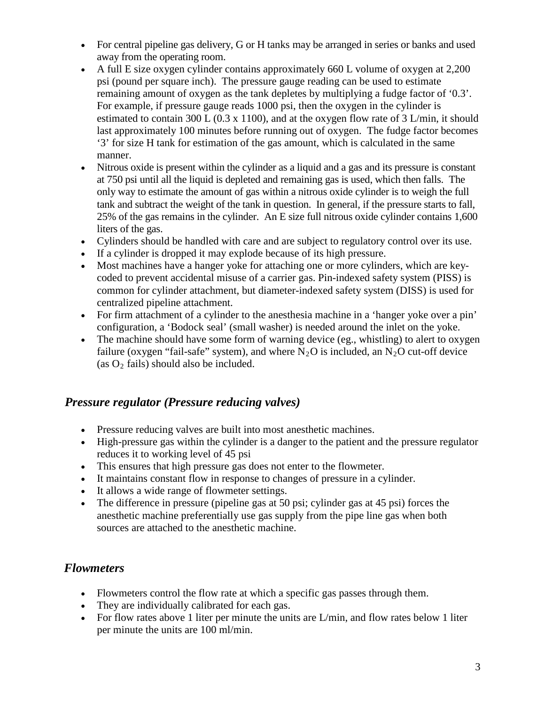- For central pipeline gas delivery, G or H tanks may be arranged in series or banks and used away from the operating room.
- A full E size oxygen cylinder contains approximately 660 L volume of oxygen at 2,200 psi (pound per square inch). The pressure gauge reading can be used to estimate remaining amount of oxygen as the tank depletes by multiplying a fudge factor of '0.3'. For example, if pressure gauge reads 1000 psi, then the oxygen in the cylinder is estimated to contain 300 L (0.3 x 1100), and at the oxygen flow rate of 3 L/min, it should last approximately 100 minutes before running out of oxygen. The fudge factor becomes '3' for size H tank for estimation of the gas amount, which is calculated in the same manner.
- Nitrous oxide is present within the cylinder as a liquid and a gas and its pressure is constant at 750 psi until all the liquid is depleted and remaining gas is used, which then falls. The only way to estimate the amount of gas within a nitrous oxide cylinder is to weigh the full tank and subtract the weight of the tank in question. In general, if the pressure starts to fall, 25% of the gas remains in the cylinder. An E size full nitrous oxide cylinder contains 1,600 liters of the gas.
- Cylinders should be handled with care and are subject to regulatory control over its use.
- If a cylinder is dropped it may explode because of its high pressure.
- Most machines have a hanger yoke for attaching one or more cylinders, which are keycoded to prevent accidental misuse of a carrier gas. Pin-indexed safety system (PISS) is common for cylinder attachment, but diameter-indexed safety system (DISS) is used for centralized pipeline attachment.
- For firm attachment of a cylinder to the anesthesia machine in a 'hanger yoke over a pin' configuration, a 'Bodock seal' (small washer) is needed around the inlet on the yoke.
- The machine should have some form of warning device (eg., whistling) to alert to oxygen failure (oxygen "fail-safe" system), and where  $N_2O$  is included, an  $N_2O$  cut-off device (as  $O_2$  fails) should also be included.

#### *Pressure regulator (Pressure reducing valves)*

- Pressure reducing valves are built into most anesthetic machines.
- High-pressure gas within the cylinder is a danger to the patient and the pressure regulator reduces it to working level of 45 psi
- This ensures that high pressure gas does not enter to the flowmeter.
- It maintains constant flow in response to changes of pressure in a cylinder.
- It allows a wide range of flowmeter settings.
- The difference in pressure (pipeline gas at 50 psi; cylinder gas at 45 psi) forces the anesthetic machine preferentially use gas supply from the pipe line gas when both sources are attached to the anesthetic machine.

#### *Flowmeters*

- Flowmeters control the flow rate at which a specific gas passes through them.
- They are individually calibrated for each gas.
- For flow rates above 1 liter per minute the units are L/min, and flow rates below 1 liter per minute the units are 100 ml/min.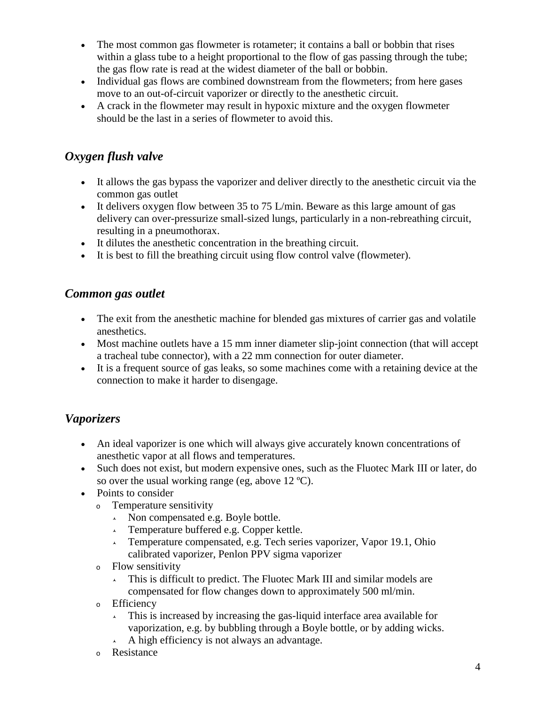- The most common gas flowmeter is rotameter; it contains a ball or bobbin that rises within a glass tube to a height proportional to the flow of gas passing through the tube; the gas flow rate is read at the widest diameter of the ball or bobbin.
- Individual gas flows are combined downstream from the flowmeters; from here gases move to an out-of-circuit vaporizer or directly to the anesthetic circuit.
- A crack in the flowmeter may result in hypoxic mixture and the oxygen flowmeter should be the last in a series of flowmeter to avoid this.

# *Oxygen flush valve*

- It allows the gas bypass the vaporizer and deliver directly to the anesthetic circuit via the common gas outlet
- It delivers oxygen flow between 35 to 75 L/min. Beware as this large amount of gas delivery can over-pressurize small-sized lungs, particularly in a non-rebreathing circuit, resulting in a pneumothorax.
- It dilutes the anesthetic concentration in the breathing circuit.
- It is best to fill the breathing circuit using flow control valve (flowmeter).

#### *Common gas outlet*

- The exit from the anesthetic machine for blended gas mixtures of carrier gas and volatile anesthetics.
- Most machine outlets have a 15 mm inner diameter slip-joint connection (that will accept a tracheal tube connector), with a 22 mm connection for outer diameter.
- It is a frequent source of gas leaks, so some machines come with a retaining device at the connection to make it harder to disengage.

## *Vaporizers*

- An ideal vaporizer is one which will always give accurately known concentrations of anesthetic vapor at all flows and temperatures.
- Such does not exist, but modern expensive ones, such as the Fluotec Mark III or later, do so over the usual working range (eg, above  $12 \text{ °C}$ ).
- Points to consider
	- <sup>o</sup> Temperature sensitivity
		- $\lambda$  Non compensated e.g. Boyle bottle.
		- $\lambda$  Temperature buffered e.g. Copper kettle.
		- $\lambda$  Temperature compensated, e.g. Tech series vaporizer, Vapor 19.1, Ohio calibrated vaporizer, Penlon PPV sigma vaporizer
	- <sup>o</sup> Flow sensitivity
		- This is difficult to predict. The Fluotec Mark III and similar models are compensated for flow changes down to approximately 500 ml/min.
	- <sup>o</sup> Efficiency
		- $\sim$  This is increased by increasing the gas-liquid interface area available for vaporization, e.g. by bubbling through a Boyle bottle, or by adding wicks.
		- $\overline{\phantom{a}}$  A high efficiency is not always an advantage.
	- <sup>o</sup> Resistance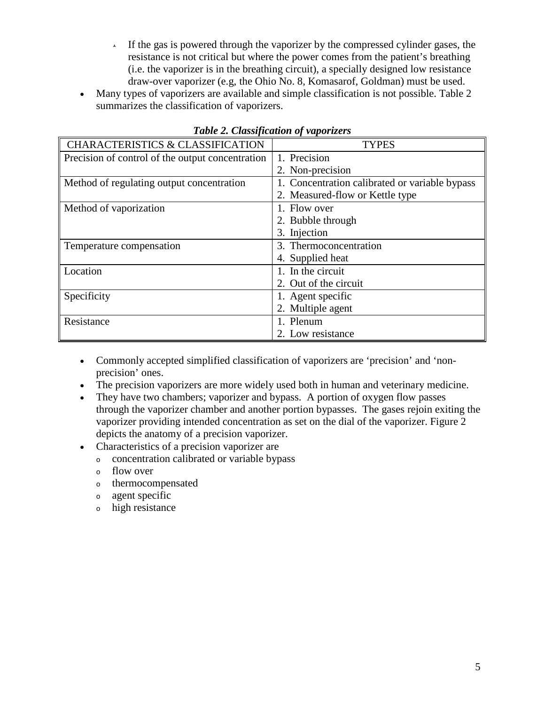- If the gas is powered through the vaporizer by the compressed cylinder gases, the resistance is not critical but where the power comes from the patient's breathing (i.e. the vaporizer is in the breathing circuit), a specially designed low resistance draw-over vaporizer (e.g, the Ohio No. 8, Komasarof, Goldman) must be used.
- Many types of vaporizers are available and simple classification is not possible. Table 2 summarizes the classification of vaporizers.

| <b>CHARACTERISTICS &amp; CLASSIFICATION</b>      | <b>TYPES</b>                                   |  |  |
|--------------------------------------------------|------------------------------------------------|--|--|
| Precision of control of the output concentration | 1. Precision                                   |  |  |
|                                                  | 2. Non-precision                               |  |  |
| Method of regulating output concentration        | 1. Concentration calibrated or variable bypass |  |  |
|                                                  | 2. Measured-flow or Kettle type                |  |  |
| Method of vaporization                           | 1. Flow over                                   |  |  |
|                                                  | 2. Bubble through                              |  |  |
|                                                  | 3. Injection                                   |  |  |
| Temperature compensation                         | 3. Thermoconcentration                         |  |  |
|                                                  | 4. Supplied heat                               |  |  |
| Location                                         | 1. In the circuit                              |  |  |
|                                                  | 2. Out of the circuit                          |  |  |
| Specificity                                      | 1. Agent specific                              |  |  |
|                                                  | 2. Multiple agent                              |  |  |
| Resistance                                       | 1. Plenum                                      |  |  |
|                                                  | 2. Low resistance                              |  |  |

*Table 2. Classification of vaporizers*

- Commonly accepted simplified classification of vaporizers are 'precision' and 'nonprecision' ones.
- The precision vaporizers are more widely used both in human and veterinary medicine.
- They have two chambers; vaporizer and bypass. A portion of oxygen flow passes through the vaporizer chamber and another portion bypasses. The gases rejoin exiting the vaporizer providing intended concentration as set on the dial of the vaporizer. Figure 2 depicts the anatomy of a precision vaporizer.
- Characteristics of a precision vaporizer are
	- <sup>o</sup> concentration calibrated or variable bypass
	- <sup>o</sup> flow over
	- <sup>o</sup> thermocompensated
	- <sup>o</sup> agent specific
	- <sup>o</sup> high resistance